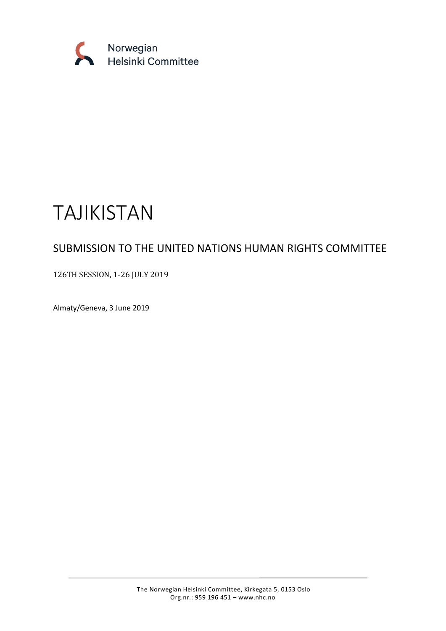

# TAJIKISTAN

# SUBMISSION TO THE UNITED NATIONS HUMAN RIGHTS COMMITTEE

# 126TH SESSION, 1-26 JULY 2019

Almaty/Geneva, 3 June 2019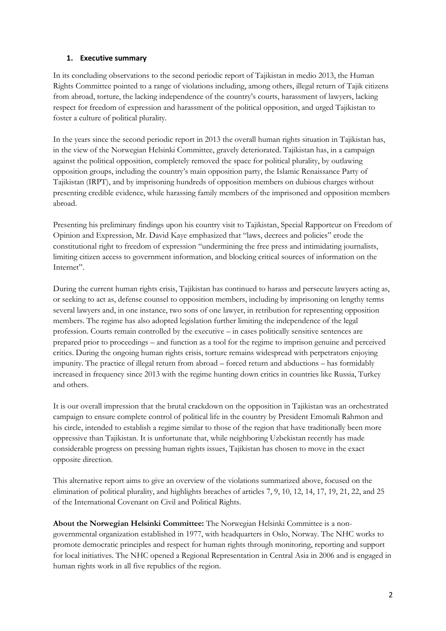#### **1. Executive summary**

In its concluding observations to the second periodic report of Tajikistan in medio 2013, the Human Rights Committee pointed to a range of violations including, among others, illegal return of Tajik citizens from abroad, torture, the lacking independence of the country's courts, harassment of lawyers, lacking respect for freedom of expression and harassment of the political opposition, and urged Tajikistan to foster a culture of political plurality.

In the years since the second periodic report in 2013 the overall human rights situation in Tajikistan has, in the view of the Norwegian Helsinki Committee, gravely deteriorated. Tajikistan has, in a campaign against the political opposition, completely removed the space for political plurality, by outlawing opposition groups, including the country's main opposition party, the Islamic Renaissance Party of Tajikistan (IRPT), and by imprisoning hundreds of opposition members on dubious charges without presenting credible evidence, while harassing family members of the imprisoned and opposition members abroad.

Presenting his preliminary findings upon his country visit to Tajikistan, Special Rapporteur on Freedom of Opinion and Expression, Mr. David Kaye emphasized that "laws, decrees and policies" erode the constitutional right to freedom of expression "undermining the free press and intimidating journalists, limiting citizen access to government information, and blocking critical sources of information on the Internet".

During the current human rights crisis, Tajikistan has continued to harass and persecute lawyers acting as, or seeking to act as, defense counsel to opposition members, including by imprisoning on lengthy terms several lawyers and, in one instance, two sons of one lawyer, in retribution for representing opposition members. The regime has also adopted legislation further limiting the independence of the legal profession. Courts remain controlled by the executive – in cases politically sensitive sentences are prepared prior to proceedings – and function as a tool for the regime to imprison genuine and perceived critics. During the ongoing human rights crisis, torture remains widespread with perpetrators enjoying impunity. The practice of illegal return from abroad – forced return and abductions – has formidably increased in frequency since 2013 with the regime hunting down critics in countries like Russia, Turkey and others.

It is our overall impression that the brutal crackdown on the opposition in Tajikistan was an orchestrated campaign to ensure complete control of political life in the country by President Emomali Rahmon and his circle, intended to establish a regime similar to those of the region that have traditionally been more oppressive than Tajikistan. It is unfortunate that, while neighboring Uzbekistan recently has made considerable progress on pressing human rights issues, Tajikistan has chosen to move in the exact opposite direction.

This alternative report aims to give an overview of the violations summarized above, focused on the elimination of political plurality, and highlights breaches of articles 7, 9, 10, 12, 14, 17, 19, 21, 22, and 25 of the International Covenant on Civil and Political Rights.

**About the Norwegian Helsinki Committee:** The Norwegian Helsinki Committee is a nongovernmental organization established in 1977, with headquarters in Oslo, Norway. The NHC works to promote democratic principles and respect for human rights through monitoring, reporting and support for local initiatives. The NHC opened a Regional Representation in Central Asia in 2006 and is engaged in human rights work in all five republics of the region.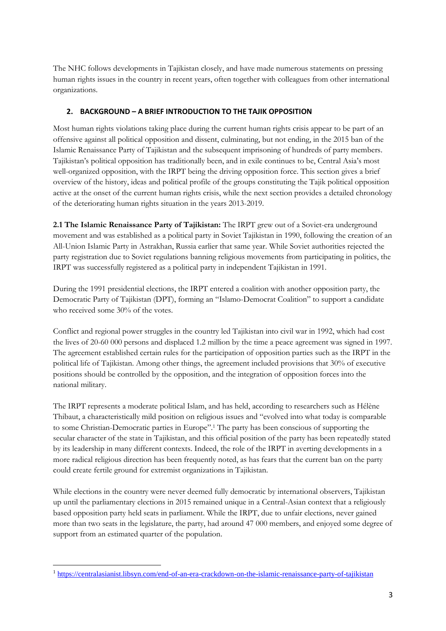The NHC follows developments in Tajikistan closely, and have made numerous statements on pressing human rights issues in the country in recent years, often together with colleagues from other international organizations.

### **2. BACKGROUND – A BRIEF INTRODUCTION TO THE TAJIK OPPOSITION**

Most human rights violations taking place during the current human rights crisis appear to be part of an offensive against all political opposition and dissent, culminating, but not ending, in the 2015 ban of the Islamic Renaissance Party of Tajikistan and the subsequent imprisoning of hundreds of party members. Tajikistan's political opposition has traditionally been, and in exile continues to be, Central Asia's most well-organized opposition, with the IRPT being the driving opposition force. This section gives a brief overview of the history, ideas and political profile of the groups constituting the Tajik political opposition active at the onset of the current human rights crisis, while the next section provides a detailed chronology of the deteriorating human rights situation in the years 2013-2019.

**2.1 The Islamic Renaissance Party of Tajikistan:** The IRPT grew out of a Soviet-era underground movement and was established as a political party in Soviet Tajikistan in 1990, following the creation of an All-Union Islamic Party in Astrakhan, Russia earlier that same year. While Soviet authorities rejected the party registration due to Soviet regulations banning religious movements from participating in politics, the IRPT was successfully registered as a political party in independent Tajikistan in 1991.

During the 1991 presidential elections, the IRPT entered a coalition with another opposition party, the Democratic Party of Tajikistan (DPT), forming an "Islamo-Democrat Coalition" to support a candidate who received some 30% of the votes.

Conflict and regional power struggles in the country led Tajikistan into civil war in 1992, which had cost the lives of 20-60 000 persons and displaced 1.2 million by the time a peace agreement was signed in 1997. The agreement established certain rules for the participation of opposition parties such as the IRPT in the political life of Tajikistan. Among other things, the agreement included provisions that 30% of executive positions should be controlled by the opposition, and the integration of opposition forces into the national military.

The IRPT represents a moderate political Islam, and has held, according to researchers such as Hélène Thibaut, a characteristically mild position on religious issues and "evolved into what today is comparable to some Christian-Democratic parties in Europe".<sup>1</sup> The party has been conscious of supporting the secular character of the state in Tajikistan, and this official position of the party has been repeatedly stated by its leadership in many different contexts. Indeed, the role of the IRPT in averting developments in a more radical religious direction has been frequently noted, as has fears that the current ban on the party could create fertile ground for extremist organizations in Tajikistan.

While elections in the country were never deemed fully democratic by international observers, Tajikistan up until the parliamentary elections in 2015 remained unique in a Central-Asian context that a religiously based opposition party held seats in parliament. While the IRPT, due to unfair elections, never gained more than two seats in the legislature, the party, had around 47 000 members, and enjoyed some degree of support from an estimated quarter of the population.

<sup>1</sup> <https://centralasianist.libsyn.com/end-of-an-era-crackdown-on-the-islamic-renaissance-party-of-tajikistan>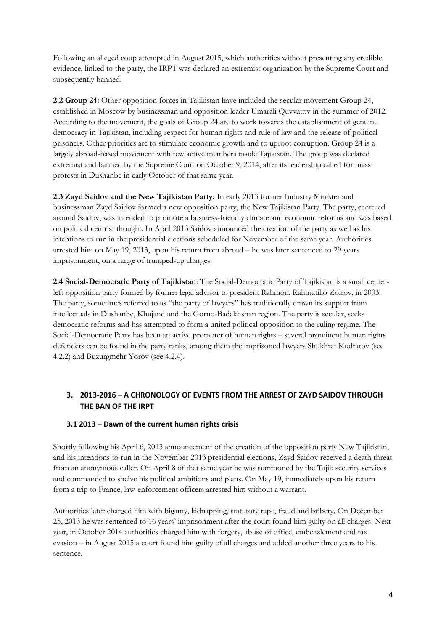Following an alleged coup attempted in August 2015, which authorities without presenting any credible evidence, linked to the party, the IRPT was declared an extremist organization by the Supreme Court and subsequently banned.

**2.2 Group 24:** Other opposition forces in Tajikistan have included the secular movement Group 24, established in Moscow by businessman and opposition leader Umarali Quvvatov in the summer of 2012. According to the movement, the goals of Group 24 are to work towards the establishment of genuine democracy in Tajikistan, including respect for human rights and rule of law and the release of political prisoners. Other priorities are to stimulate economic growth and to uproot corruption. Group 24 is a largely abroad-based movement with few active members inside Tajikistan. The group was declared extremist and banned by the Supreme Court on October 9, 2014, after its leadership called for mass protests in Dushanbe in early October of that same year.

**2.3 Zayd Saidov and the New Tajikistan Party:** In early 2013 former Industry Minister and businessman Zayd Saidov formed a new opposition party, the New Tajikistan Party. The party, centered around Saidov, was intended to promote a business-friendly climate and economic reforms and was based on political centrist thought. In April 2013 Saidov announced the creation of the party as well as his intentions to run in the presidential elections scheduled for November of the same year. Authorities arrested him on May 19, 2013, upon his return from abroad – he was later sentenced to 29 years imprisonment, on a range of trumped-up charges.

**2.4 Social-Democratic Party of Tajikistan**: The Social-Democratic Party of Tajikistan is a small centerleft opposition party formed by former legal advisor to president Rahmon, Rahmatillo Zoirov, in 2003. The party, sometimes referred to as "the party of lawyers" has traditionally drawn its support from intellectuals in Dushanbe, Khujand and the Gorno-Badakhshan region. The party is secular, seeks democratic reforms and has attempted to form a united political opposition to the ruling regime. The Social-Democratic Party has been an active promoter of human rights – several prominent human rights defenders can be found in the party ranks, among them the imprisoned lawyers Shukhrat Kudratov (see 4.2.2) and Buzurgmehr Yorov (see 4.2.4).

# **3. 2013-2016 – A CHRONOLOGY OF EVENTS FROM THE ARREST OF ZAYD SAIDOV THROUGH THE BAN OF THE IRPT**

# **3.1 2013 – Dawn of the current human rights crisis**

Shortly following his April 6, 2013 announcement of the creation of the opposition party New Tajikistan, and his intentions to run in the November 2013 presidential elections, Zayd Saidov received a death threat from an anonymous caller. On April 8 of that same year he was summoned by the Tajik security services and commanded to shelve his political ambitions and plans. On May 19, immediately upon his return from a trip to France, law-enforcement officers arrested him without a warrant.

Authorities later charged him with bigamy, kidnapping, statutory rape, fraud and bribery. On December 25, 2013 he was sentenced to 16 years' imprisonment after the court found him guilty on all charges. Next year, in October 2014 authorities charged him with forgery, abuse of office, embezzlement and tax evasion – in August 2015 a court found him guilty of all charges and added another three years to his sentence.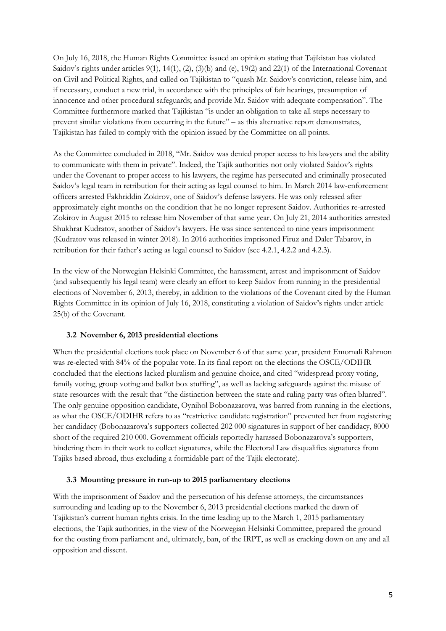On July 16, 2018, the Human Rights Committee issued an opinion stating that Tajikistan has violated Saidov's rights under articles 9(1), 14(1), (2), (3)(b) and (e), 19(2) and 22(1) of the International Covenant on Civil and Political Rights, and called on Tajikistan to "quash Mr. Saidov's conviction, release him, and if necessary, conduct a new trial, in accordance with the principles of fair hearings, presumption of innocence and other procedural safeguards; and provide Mr. Saidov with adequate compensation". The Committee furthermore marked that Tajikistan "is under an obligation to take all steps necessary to prevent similar violations from occurring in the future" – as this alternative report demonstrates, Tajikistan has failed to comply with the opinion issued by the Committee on all points.

As the Committee concluded in 2018, "Mr. Saidov was denied proper access to his lawyers and the ability to communicate with them in private". Indeed, the Tajik authorities not only violated Saidov's rights under the Covenant to proper access to his lawyers, the regime has persecuted and criminally prosecuted Saidov's legal team in retribution for their acting as legal counsel to him. In March 2014 law-enforcement officers arrested Fakhriddin Zokirov, one of Saidov's defense lawyers. He was only released after approximately eight months on the condition that he no longer represent Saidov. Authorities re-arrested Zokirov in August 2015 to release him November of that same year. On July 21, 2014 authorities arrested Shukhrat Kudratov, another of Saidov's lawyers. He was since sentenced to nine years imprisonment (Kudratov was released in winter 2018). In 2016 authorities imprisoned Firuz and Daler Tabarov, in retribution for their father's acting as legal counsel to Saidov (see 4.2.1, 4.2.2 and 4.2.3).

In the view of the Norwegian Helsinki Committee, the harassment, arrest and imprisonment of Saidov (and subsequently his legal team) were clearly an effort to keep Saidov from running in the presidential elections of November 6, 2013, thereby, in addition to the violations of the Covenant cited by the Human Rights Committee in its opinion of July 16, 2018, constituting a violation of Saidov's rights under article 25(b) of the Covenant.

#### **3.2 November 6, 2013 presidential elections**

When the presidential elections took place on November 6 of that same year, president Emomali Rahmon was re-elected with 84% of the popular vote. In its final report on the elections the OSCE/ODIHR concluded that the elections lacked pluralism and genuine choice, and cited "widespread proxy voting, family voting, group voting and ballot box stuffing", as well as lacking safeguards against the misuse of state resources with the result that "the distinction between the state and ruling party was often blurred". The only genuine opposition candidate, Oynihol Bobonazarova, was barred from running in the elections, as what the OSCE/ODIHR refers to as "restrictive candidate registration" prevented her from registering her candidacy (Bobonazarova's supporters collected 202 000 signatures in support of her candidacy, 8000 short of the required 210 000. Government officials reportedly harassed Bobonazarova's supporters, hindering them in their work to collect signatures, while the Electoral Law disqualifies signatures from Tajiks based abroad, thus excluding a formidable part of the Tajik electorate).

#### **3.3 Mounting pressure in run-up to 2015 parliamentary elections**

With the imprisonment of Saidov and the persecution of his defense attorneys, the circumstances surrounding and leading up to the November 6, 2013 presidential elections marked the dawn of Tajikistan's current human rights crisis. In the time leading up to the March 1, 2015 parliamentary elections, the Tajik authorities, in the view of the Norwegian Helsinki Committee, prepared the ground for the ousting from parliament and, ultimately, ban, of the IRPT, as well as cracking down on any and all opposition and dissent.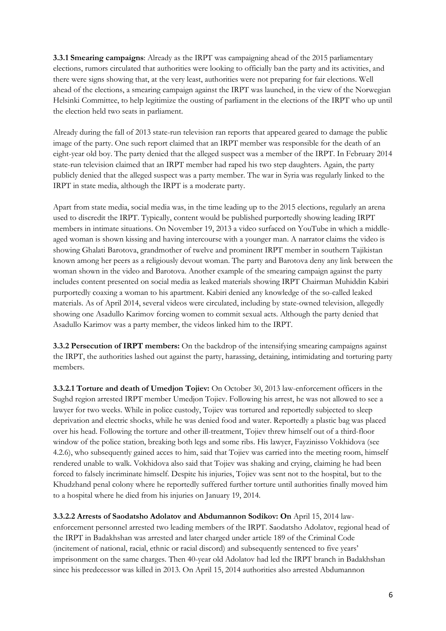**3.3.1 Smearing campaigns**: Already as the IRPT was campaigning ahead of the 2015 parliamentary elections, rumors circulated that authorities were looking to officially ban the party and its activities, and there were signs showing that, at the very least, authorities were not preparing for fair elections. Well ahead of the elections, a smearing campaign against the IRPT was launched, in the view of the Norwegian Helsinki Committee, to help legitimize the ousting of parliament in the elections of the IRPT who up until the election held two seats in parliament.

Already during the fall of 2013 state-run television ran reports that appeared geared to damage the public image of the party. One such report claimed that an IRPT member was responsible for the death of an eight-year old boy. The party denied that the alleged suspect was a member of the IRPT. In February 2014 state-run television claimed that an IRPT member had raped his two step daughters. Again, the party publicly denied that the alleged suspect was a party member. The war in Syria was regularly linked to the IRPT in state media, although the IRPT is a moderate party.

Apart from state media, social media was, in the time leading up to the 2015 elections, regularly an arena used to discredit the IRPT. Typically, content would be published purportedly showing leading IRPT members in intimate situations. On November 19, 2013 a video surfaced on YouTube in which a middleaged woman is shown kissing and having intercourse with a younger man. A narrator claims the video is showing Ghalati Barotova, grandmother of twelve and prominent IRPT member in southern Tajikistan known among her peers as a religiously devout woman. The party and Barotova deny any link between the woman shown in the video and Barotova. Another example of the smearing campaign against the party includes content presented on social media as leaked materials showing IRPT Chairman Muhiddin Kabiri purportedly coaxing a woman to his apartment. Kabiri denied any knowledge of the so-called leaked materials. As of April 2014, several videos were circulated, including by state-owned television, allegedly showing one Asadullo Karimov forcing women to commit sexual acts. Although the party denied that Asadullo Karimov was a party member, the videos linked him to the IRPT.

**3.3.2 Persecution of IRPT members:** On the backdrop of the intensifying smearing campaigns against the IRPT, the authorities lashed out against the party, harassing, detaining, intimidating and torturing party members.

**3.3.2.1 Torture and death of Umedjon Tojiev:** On October 30, 2013 law-enforcement officers in the Sughd region arrested IRPT member Umedjon Tojiev. Following his arrest, he was not allowed to see a lawyer for two weeks. While in police custody, Tojiev was tortured and reportedly subjected to sleep deprivation and electric shocks, while he was denied food and water. Reportedly a plastic bag was placed over his head. Following the torture and other ill-treatment, Tojiev threw himself out of a third-floor window of the police station, breaking both legs and some ribs. His lawyer, Fayzinisso Vokhidova (see 4.2.6), who subsequently gained acces to him, said that Tojiev was carried into the meeting room, himself rendered unable to walk. Vokhidova also said that Tojiev was shaking and crying, claiming he had been forced to falsely incriminate himself. Despite his injuries, Tojiev was sent not to the hospital, but to the Khudzhand penal colony where he reportedly suffered further torture until authorities finally moved him to a hospital where he died from his injuries on January 19, 2014.

**3.3.2.2 Arrests of Saodatsho Adolatov and Abdumannon Sodikov: On** April 15, 2014 lawenforcement personnel arrested two leading members of the IRPT. Saodatsho Adolatov, regional head of the IRPT in Badakhshan was arrested and later charged under article 189 of the Criminal Code (incitement of national, racial, ethnic or racial discord) and subsequently sentenced to five years' imprisonment on the same charges. Then 40-year old Adolatov had led the IRPT branch in Badakhshan since his predecessor was killed in 2013. On April 15, 2014 authorities also arrested Abdumannon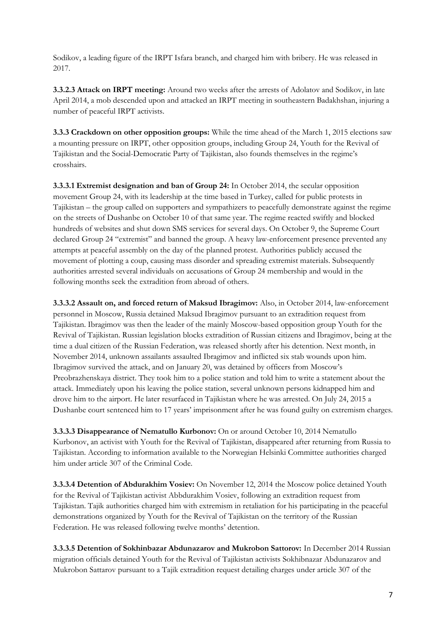Sodikov, a leading figure of the IRPT Isfara branch, and charged him with bribery. He was released in 2017.

**3.3.2.3 Attack on IRPT meeting:** Around two weeks after the arrests of Adolatov and Sodikov, in late April 2014, a mob descended upon and attacked an IRPT meeting in southeastern Badakhshan, injuring a number of peaceful IRPT activists.

**3.3.3 Crackdown on other opposition groups:** While the time ahead of the March 1, 2015 elections saw a mounting pressure on IRPT, other opposition groups, including Group 24, Youth for the Revival of Tajikistan and the Social-Democratic Party of Tajikistan, also founds themselves in the regime's crosshairs.

**3.3.3.1 Extremist designation and ban of Group 24:** In October 2014, the secular opposition movement Group 24, with its leadership at the time based in Turkey, called for public protests in Tajikistan – the group called on supporters and sympathizers to peacefully demonstrate against the regime on the streets of Dushanbe on October 10 of that same year. The regime reacted swiftly and blocked hundreds of websites and shut down SMS services for several days. On October 9, the Supreme Court declared Group 24 "extremist" and banned the group. A heavy law-enforcement presence prevented any attempts at peaceful assembly on the day of the planned protest. Authorities publicly accused the movement of plotting a coup, causing mass disorder and spreading extremist materials. Subsequently authorities arrested several individuals on accusations of Group 24 membership and would in the following months seek the extradition from abroad of others.

**3.3.3.2 Assault on, and forced return of Maksud Ibragimov:** Also, in October 2014, law-enforcement personnel in Moscow, Russia detained Maksud Ibragimov pursuant to an extradition request from Tajikistan. Ibragimov was then the leader of the mainly Moscow-based opposition group Youth for the Revival of Tajikistan. Russian legislation blocks extradition of Russian citizens and Ibragimov, being at the time a dual citizen of the Russian Federation, was released shortly after his detention. Next month, in November 2014, unknown assailants assaulted Ibragimov and inflicted six stab wounds upon him. Ibragimov survived the attack, and on January 20, was detained by officers from Moscow's Preobrazhenskaya district. They took him to a police station and told him to write a statement about the attack. Immediately upon his leaving the police station, several unknown persons kidnapped him and drove him to the airport. He later resurfaced in Tajikistan where he was arrested. On July 24, 2015 a Dushanbe court sentenced him to 17 years' imprisonment after he was found guilty on extremism charges.

**3.3.3.3 Disappearance of Nematullo Kurbonov:** On or around October 10, 2014 Nematullo Kurbonov, an activist with Youth for the Revival of Tajikistan, disappeared after returning from Russia to Tajikistan. According to information available to the Norwegian Helsinki Committee authorities charged him under article 307 of the Criminal Code.

**3.3.3.4 Detention of Abdurakhim Vosiev:** On November 12, 2014 the Moscow police detained Youth for the Revival of Tajikistan activist Abbdurakhim Vosiev, following an extradition request from Tajikistan. Tajik authorities charged him with extremism in retaliation for his participating in the peaceful demonstrations organized by Youth for the Revival of Tajikistan on the territory of the Russian Federation. He was released following twelve months' detention.

**3.3.3.5 Detention of Sokhinbazar Abdunazarov and Mukrobon Sattorov:** In December 2014 Russian migration officials detained Youth for the Revival of Tajikistan activists Sokhibnazar Abdunazarov and Mukrobon Sattarov pursuant to a Tajik extradition request detailing charges under article 307 of the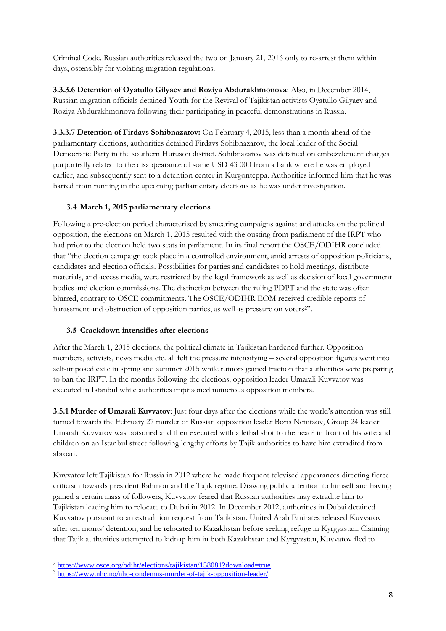Criminal Code. Russian authorities released the two on January 21, 2016 only to re-arrest them within days, ostensibly for violating migration regulations.

**3.3.3.6 Detention of Oyatullo Gilyaev and Roziya Abdurakhmonova**: Also, in December 2014, Russian migration officials detained Youth for the Revival of Tajikistan activists Oyatullo Gilyaev and Roziya Abdurakhmonova following their participating in peaceful demonstrations in Russia.

**3.3.3.7 Detention of Firdavs Sohibnazarov:** On February 4, 2015, less than a month ahead of the parliamentary elections, authorities detained Firdavs Sohibnazarov, the local leader of the Social Democratic Party in the southern Huruson district. Sohibnazarov was detained on embezzlement charges purportedly related to the disappearance of some USD 43 000 from a bank where he was employed earlier, and subsequently sent to a detention center in Kurgonteppa. Authorities informed him that he was barred from running in the upcoming parliamentary elections as he was under investigation.

#### **3.4 March 1, 2015 parliamentary elections**

Following a pre-election period characterized by smearing campaigns against and attacks on the political opposition, the elections on March 1, 2015 resulted with the ousting from parliament of the IRPT who had prior to the election held two seats in parliament. In its final report the OSCE/ODIHR concluded that "the election campaign took place in a controlled environment, amid arrests of opposition politicians, candidates and election officials. Possibilities for parties and candidates to hold meetings, distribute materials, and access media, were restricted by the legal framework as well as decision of local government bodies and election commissions. The distinction between the ruling PDPT and the state was often blurred, contrary to OSCE commitments. The OSCE/ODIHR EOM received credible reports of harassment and obstruction of opposition parties, as well as pressure on voters<sup>2"</sup>.

#### **3.5 Crackdown intensifies after elections**

After the March 1, 2015 elections, the political climate in Tajikistan hardened further. Opposition members, activists, news media etc. all felt the pressure intensifying – several opposition figures went into self-imposed exile in spring and summer 2015 while rumors gained traction that authorities were preparing to ban the IRPT. In the months following the elections, opposition leader Umarali Kuvvatov was executed in Istanbul while authorities imprisoned numerous opposition members.

**3.5.1 Murder of Umarali Kuvvatov**: Just four days after the elections while the world's attention was still turned towards the February 27 murder of Russian opposition leader Boris Nemtsov, Group 24 leader Umarali Kuvvatov was poisoned and then executed with a lethal shot to the head<sup>3</sup> in front of his wife and children on an Istanbul street following lengthy efforts by Tajik authorities to have him extradited from abroad.

Kuvvatov left Tajikistan for Russia in 2012 where he made frequent televised appearances directing fierce criticism towards president Rahmon and the Tajik regime. Drawing public attention to himself and having gained a certain mass of followers, Kuvvatov feared that Russian authorities may extradite him to Tajikistan leading him to relocate to Dubai in 2012. In December 2012, authorities in Dubai detained Kuvvatov pursuant to an extradition request from Tajikistan. United Arab Emirates released Kuvvatov after ten monts' detention, and he relocated to Kazakhstan before seeking refuge in Kyrgyzstan. Claiming that Tajik authorities attempted to kidnap him in both Kazakhstan and Kyrgyzstan, Kuvvatov fled to

 $\overline{a}$ <sup>2</sup> <https://www.osce.org/odihr/elections/tajikistan/158081?download=true>

<sup>3</sup> <https://www.nhc.no/nhc-condemns-murder-of-tajik-opposition-leader/>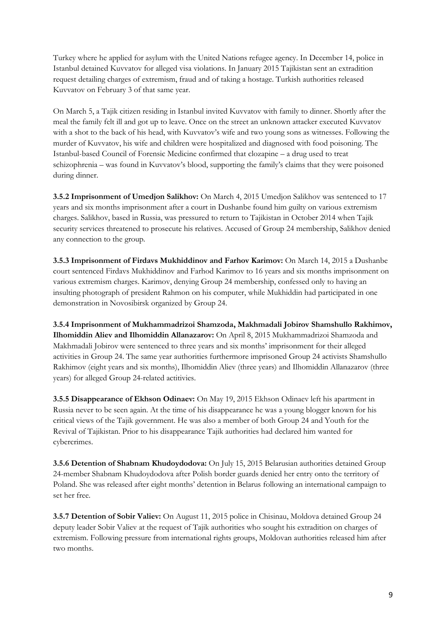Turkey where he applied for asylum with the United Nations refugee agency. In December 14, police in Istanbul detained Kuvvatov for alleged visa violations. In January 2015 Tajikistan sent an extradition request detailing charges of extremism, fraud and of taking a hostage. Turkish authorities released Kuvvatov on February 3 of that same year.

On March 5, a Tajik citizen residing in Istanbul invited Kuvvatov with family to dinner. Shortly after the meal the family felt ill and got up to leave. Once on the street an unknown attacker executed Kuvvatov with a shot to the back of his head, with Kuvvatov's wife and two young sons as witnesses. Following the murder of Kuvvatov, his wife and children were hospitalized and diagnosed with food poisoning. The Istanbul-based Council of Forensic Medicine confirmed that clozapine – a drug used to treat schizophrenia – was found in Kuvvatov's blood, supporting the family's claims that they were poisoned during dinner.

**3.5.2 Imprisonment of Umedjon Salikhov:** On March 4, 2015 Umedjon Salikhov was sentenced to 17 years and six months imprisonment after a court in Dushanbe found him guilty on various extremism charges. Salikhov, based in Russia, was pressured to return to Tajikistan in October 2014 when Tajik security services threatened to prosecute his relatives. Accused of Group 24 membership, Salikhov denied any connection to the group.

**3.5.3 Imprisonment of Firdavs Mukhiddinov and Farhov Karimov:** On March 14, 2015 a Dushanbe court sentenced Firdavs Mukhiddinov and Farhod Karimov to 16 years and six months imprisonment on various extremism charges. Karimov, denying Group 24 membership, confessed only to having an insulting photograph of president Rahmon on his computer, while Mukhiddin had participated in one demonstration in Novosibirsk organized by Group 24.

**3.5.4 Imprisonment of Mukhammadrizoi Shamzoda, Makhmadali Jobirov Shamshullo Rakhimov, Ilhomiddin Aliev and Ilhomiddin Allanazarov:** On April 8, 2015 Mukhammadrizoi Shamzoda and Makhmadali Jobirov were sentenced to three years and six months' imprisonment for their alleged activities in Group 24. The same year authorities furthermore imprisoned Group 24 activists Shamshullo Rakhimov (eight years and six months), Ilhomiddin Aliev (three years) and Ilhomiddin Allanazarov (three years) for alleged Group 24-related actitivies.

**3.5.5 Disappearance of Ekhson Odinaev:** On May 19, 2015 Ekhson Odinaev left his apartment in Russia never to be seen again. At the time of his disappearance he was a young blogger known for his critical views of the Tajik government. He was also a member of both Group 24 and Youth for the Revival of Tajikistan. Prior to his disappearance Tajik authorities had declared him wanted for cybercrimes.

**3.5.6 Detention of Shabnam Khudoydodova:** On July 15, 2015 Belarusian authorities detained Group 24-member Shabnam Khudoydodova after Polish border guards denied her entry onto the territory of Poland. She was released after eight months' detention in Belarus following an international campaign to set her free.

**3.5.7 Detention of Sobir Valiev:** On August 11, 2015 police in Chisinau, Moldova detained Group 24 deputy leader Sobir Valiev at the request of Tajik authorities who sought his extradition on charges of extremism. Following pressure from international rights groups, Moldovan authorities released him after two months.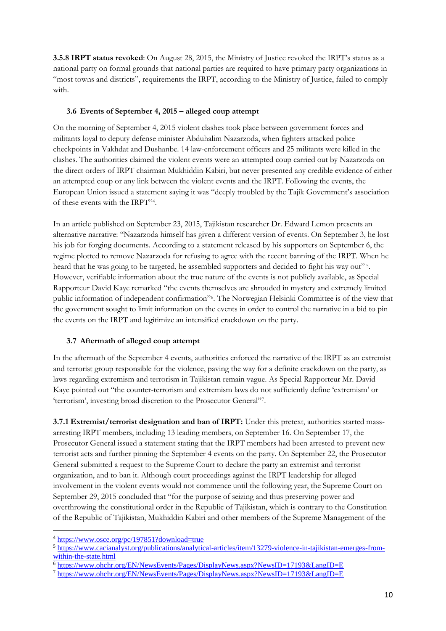**3.5.8 IRPT status revoked**: On August 28, 2015, the Ministry of Justice revoked the IRPT's status as a national party on formal grounds that national parties are required to have primary party organizations in "most towns and districts", requirements the IRPT, according to the Ministry of Justice, failed to comply with.

# **3.6 Events of September 4, 2015 – alleged coup attempt**

On the morning of September 4, 2015 violent clashes took place between government forces and militants loyal to deputy defense minister Abduhalim Nazarzoda, when fighters attacked police checkpoints in Vakhdat and Dushanbe. 14 law-enforcement officers and 25 militants were killed in the clashes. The authorities claimed the violent events were an attempted coup carried out by Nazarzoda on the direct orders of IRPT chairman Mukhiddin Kabiri, but never presented any credible evidence of either an attempted coup or any link between the violent events and the IRPT. Following the events, the European Union issued a statement saying it was "deeply troubled by the Tajik Government's association of these events with the IRPT"<sup>4</sup> .

In an article published on September 23, 2015, Tajikistan researcher Dr. Edward Lemon presents an alternative narrative: "Nazarzoda himself has given a different version of events. On September 3, he lost his job for forging documents. According to a statement released by his supporters on September 6, the regime plotted to remove Nazarzoda for refusing to agree with the recent banning of the IRPT. When he heard that he was going to be targeted, he assembled supporters and decided to fight his way out"<sup>5</sup>. However, verifiable information about the true nature of the events is not publicly available, as Special Rapporteur David Kaye remarked "the events themselves are shrouded in mystery and extremely limited public information of independent confirmation"<sup>6</sup> . The Norwegian Helsinki Committee is of the view that the government sought to limit information on the events in order to control the narrative in a bid to pin the events on the IRPT and legitimize an intensified crackdown on the party.

# **3.7 Aftermath of alleged coup attempt**

In the aftermath of the September 4 events, authorities enforced the narrative of the IRPT as an extremist and terrorist group responsible for the violence, paving the way for a definite crackdown on the party, as laws regarding extremism and terrorism in Tajikistan remain vague. As Special Rapporteur Mr. David Kaye pointed out "the counter-terrorism and extremism laws do not sufficiently define 'extremism' or 'terrorism', investing broad discretion to the Prosecutor General"7.

**3.7.1 Extremist/terrorist designation and ban of IRPT:** Under this pretext, authorities started massarresting IRPT members, including 13 leading members, on September 16. On September 17, the Prosecutor General issued a statement stating that the IRPT members had been arrested to prevent new terrorist acts and further pinning the September 4 events on the party. On September 22, the Prosecutor General submitted a request to the Supreme Court to declare the party an extremist and terrorist organization, and to ban it. Although court proceedings against the IRPT leadership for alleged involvement in the violent events would not commence until the following year, the Supreme Court on September 29, 2015 concluded that "for the purpose of seizing and thus preserving power and overthrowing the constitutional order in the Republic of Tajikistan, which is contrary to the Constitution of the Republic of Tajikistan, Mukhiddin Kabiri and other members of the Supreme Management of the

 $\overline{a}$ <sup>4</sup> <https://www.osce.org/pc/197851?download=true>

<sup>5</sup> [https://www.cacianalyst.org/publications/analytical-articles/item/13279-violence-in-tajikistan-emerges-from](https://www.cacianalyst.org/publications/analytical-articles/item/13279-violence-in-tajikistan-emerges-from-within-the-state.html)[within-the-state.html](https://www.cacianalyst.org/publications/analytical-articles/item/13279-violence-in-tajikistan-emerges-from-within-the-state.html)

<sup>6</sup> <https://www.ohchr.org/EN/NewsEvents/Pages/DisplayNews.aspx?NewsID=17193&LangID=E>

<sup>7</sup> <https://www.ohchr.org/EN/NewsEvents/Pages/DisplayNews.aspx?NewsID=17193&LangID=E>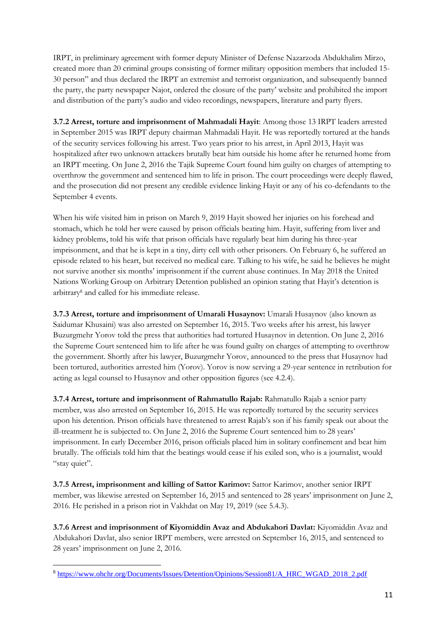IRPT, in preliminary agreement with former deputy Minister of Defense Nazarzoda Abdukhalim Mirzo, created more than 20 criminal groups consisting of former military opposition members that included 15- 30 person" and thus declared the IRPT an extremist and terrorist organization, and subsequently banned the party, the party newspaper Najot, ordered the closure of the party' website and prohibited the import and distribution of the party's audio and video recordings, newspapers, literature and party flyers.

**3.7.2 Arrest, torture and imprisonment of Mahmadali Hayit**: Among those 13 IRPT leaders arrested in September 2015 was IRPT deputy chairman Mahmadali Hayit. He was reportedly tortured at the hands of the security services following his arrest. Two years prior to his arrest, in April 2013, Hayit was hospitalized after two unknown attackers brutally beat him outside his home after he returned home from an IRPT meeting. On June 2, 2016 the Tajik Supreme Court found him guilty on charges of attempting to overthrow the government and sentenced him to life in prison. The court proceedings were deeply flawed, and the prosecution did not present any credible evidence linking Hayit or any of his co-defendants to the September 4 events.

When his wife visited him in prison on March 9, 2019 Hayit showed her injuries on his forehead and stomach, which he told her were caused by prison officials beating him. Hayit, suffering from liver and kidney problems, told his wife that prison officials have regularly beat him during his three-year imprisonment, and that he is kept in a tiny, dirty cell with other prisoners. On February 6, he suffered an episode related to his heart, but received no medical care. Talking to his wife, he said he believes he might not survive another six months' imprisonment if the current abuse continues. In May 2018 the United Nations Working Group on Arbitrary Detention published an opinion stating that Hayit's detention is arbitrary<sup>8</sup> and called for his immediate release.

**3.7.3 Arrest, torture and imprisonment of Umarali Husaynov:** Umarali Husaynov (also known as Saidumar Khusaini) was also arrested on September 16, 2015. Two weeks after his arrest, his lawyer Buzurgmehr Yorov told the press that authorities had tortured Husaynov in detention. On June 2, 2016 the Supreme Court sentenced him to life after he was found guilty on charges of attempting to overthrow the government. Shortly after his lawyer, Buzurgmehr Yorov, announced to the press that Husaynov had been tortured, authorities arrested him (Yorov). Yorov is now serving a 29-year sentence in retribution for acting as legal counsel to Husaynov and other opposition figures (see 4.2.4).

**3.7.4 Arrest, torture and imprisonment of Rahmatullo Rajab:** Rahmatullo Rajab a senior party member, was also arrested on September 16, 2015. He was reportedly tortured by the security services upon his detention. Prison officials have threatened to arrest Rajab's son if his family speak out about the ill-treatment he is subjected to. On June 2, 2016 the Supreme Court sentenced him to 28 years' imprisonment. In early December 2016, prison officials placed him in solitary confinement and beat him brutally. The officials told him that the beatings would cease if his exiled son, who is a journalist, would "stay quiet".

**3.7.5 Arrest, imprisonment and killing of Sattor Karimov:** Sattor Karimov, another senior IRPT member, was likewise arrested on September 16, 2015 and sentenced to 28 years' imprisonment on June 2, 2016. He perished in a prison riot in Vakhdat on May 19, 2019 (see 5.4.3).

**3.7.6 Arrest and imprisonment of Kiyomiddin Avaz and Abdukahori Davlat:** Kiyomiddin Avaz and Abdukahori Davlat, also senior IRPT members, were arrested on September 16, 2015, and sentenced to 28 years' imprisonment on June 2, 2016.

<sup>8</sup> [https://www.ohchr.org/Documents/Issues/Detention/Opinions/Session81/A\\_HRC\\_WGAD\\_2018\\_2.pdf](https://www.ohchr.org/Documents/Issues/Detention/Opinions/Session81/A_HRC_WGAD_2018_2.pdf)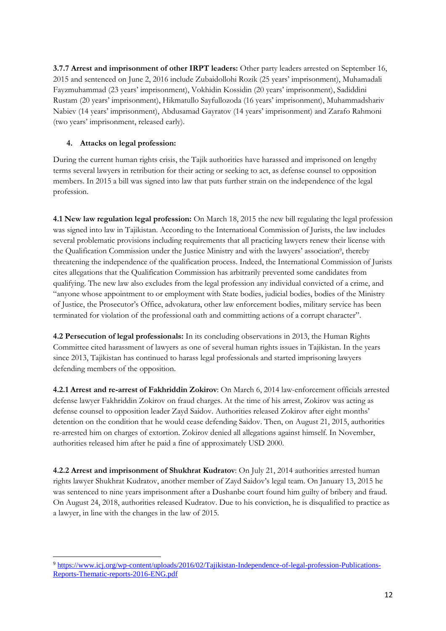**3.7.7 Arrest and imprisonment of other IRPT leaders:** Other party leaders arrested on September 16, 2015 and sentenced on June 2, 2016 include Zubaidollohi Rozik (25 years' imprisonment), Muhamadali Fayzmuhammad (23 years' imprisonment), Vokhidin Kossidin (20 years' imprisonment), Sadiddini Rustam (20 years' imprisonment), Hikmatullo Sayfullozoda (16 years' imprisonment), Muhammadshariv Nabiev (14 years' imprisonment), Abdusamad Gayratov (14 years' imprisonment) and Zarafo Rahmoni (two years' imprisonment, released early).

# **4. Attacks on legal profession:**

During the current human rights crisis, the Tajik authorities have harassed and imprisoned on lengthy terms several lawyers in retribution for their acting or seeking to act, as defense counsel to opposition members. In 2015 a bill was signed into law that puts further strain on the independence of the legal profession.

**4.1 New law regulation legal profession:** On March 18, 2015 the new bill regulating the legal profession was signed into law in Tajikistan. According to the International Commission of Jurists, the law includes several problematic provisions including requirements that all practicing lawyers renew their license with the Qualification Commission under the Justice Ministry and with the lawyers' association<sup>9</sup>, thereby threatening the independence of the qualification process. Indeed, the International Commission of Jurists cites allegations that the Qualification Commission has arbitrarily prevented some candidates from qualifying. The new law also excludes from the legal profession any individual convicted of a crime, and "anyone whose appointment to or employment with State bodies, judicial bodies, bodies of the Ministry of Justice, the Prosecutor's Office, advokatura, other law enforcement bodies, military service has been terminated for violation of the professional oath and committing actions of a corrupt character".

**4.2 Persecution of legal professionals:** In its concluding observations in 2013, the Human Rights Committee cited harassment of lawyers as one of several human rights issues in Tajikistan. In the years since 2013, Tajikistan has continued to harass legal professionals and started imprisoning lawyers defending members of the opposition.

**4.2.1 Arrest and re-arrest of Fakhriddin Zokirov**: On March 6, 2014 law-enforcement officials arrested defense lawyer Fakhriddin Zokirov on fraud charges. At the time of his arrest, Zokirov was acting as defense counsel to opposition leader Zayd Saidov. Authorities released Zokirov after eight months' detention on the condition that he would cease defending Saidov. Then, on August 21, 2015, authorities re-arrested him on charges of extortion. Zokirov denied all allegations against himself. In November, authorities released him after he paid a fine of approximately USD 2000.

**4.2.2 Arrest and imprisonment of Shukhrat Kudratov**: On July 21, 2014 authorities arrested human rights lawyer Shukhrat Kudratov, another member of Zayd Saidov's legal team. On January 13, 2015 he was sentenced to nine years imprisonment after a Dushanbe court found him guilty of bribery and fraud. On August 24, 2018, authorities released Kudratov. Due to his conviction, he is disqualified to practice as a lawyer, in line with the changes in the law of 2015.

 $\overline{a}$ <sup>9</sup> [https://www.icj.org/wp-content/uploads/2016/02/Tajikistan-Independence-of-legal-profession-Publications-](https://www.icj.org/wp-content/uploads/2016/02/Tajikistan-Independence-of-legal-profession-Publications-Reports-Thematic-reports-2016-ENG.pdf)[Reports-Thematic-reports-2016-ENG.pdf](https://www.icj.org/wp-content/uploads/2016/02/Tajikistan-Independence-of-legal-profession-Publications-Reports-Thematic-reports-2016-ENG.pdf)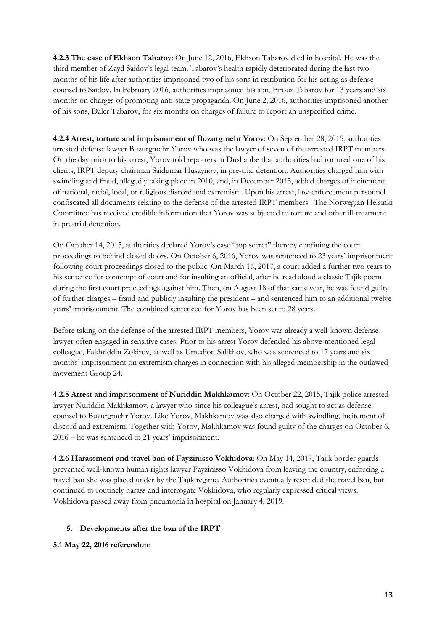**4.2.3 The case of Ekhson Tabarov**: On June 12, 2016, Ekhson Tabarov died in hospital. He was the third member of Zayd Saidov's legal team. Tabarov's health rapidly deteriorated during the last two months of his life after authorities imprisoned two of his sons in retribution for his acting as defense counsel to Saidov. In February 2016, authorities imprisoned his son, Firouz Tabarov for 13 years and six months on charges of promoting anti-state propaganda. On June 2, 2016, authorities imprisoned another of his sons, Daler Tabarov, for six months on charges of failure to report an unspecified crime.

**4.2.4 Arrest, torture and imprisonment of Buzurgmehr Yorov**: On September 28, 2015, authorities arrested defense lawyer Buzurgmehr Yorov who was the lawyer of seven of the arrested IRPT members. On the day prior to his arrest, Yorov told reporters in Dushanbe that authorities had tortured one of his clients, IRPT deputy chairman Saidumar Husaynov, in pre-trial detention. Authorities charged him with swindling and fraud, allegedly taking place in 2010, and, in December 2015, added charges of incitement of national, racial, local, or religious discord and extremism. Upon his arrest, law-enforcement personnel confiscated all documents relating to the defense of the arrested IRPT members. The Norwegian Helsinki Committee has received credible information that Yorov was subjected to torture and other ill-treatment in pre-trial detention.

On October 14, 2015, authorities declared Yorov's case "top secret" thereby confining the court proceedings to behind closed doors. On October 6, 2016, Yorov was sentenced to 23 years' imprisonment following court proceedings closed to the public. On March 16, 2017, a court added a further two years to his sentence for contempt of court and for insulting an official, after he read aloud a classic Tajik poem during the first court proceedings against him. Then, on August 18 of that same year, he was found guilty of further charges – fraud and publicly insulting the president – and sentenced him to an additional twelve years' imprisonment. The combined sentenced for Yorov has been set to 28 years.

Before taking on the defense of the arrested IRPT members, Yorov was already a well-known defense lawyer often engaged in sensitive cases. Prior to his arrest Yorov defended his above-mentioned legal colleague, Fakhriddin Zokirov, as well as Umedjon Salikhov, who was sentenced to 17 years and six months' imprisonment on extremism charges in connection with his alleged membership in the outlawed movement Group 24.

**4.2.5 Arrest and imprisonment of Nuriddin Makhkamov**: On October 22, 2015, Tajik police arrested lawyer Nuriddin Makhkamov, a lawyer who since his colleague's arrest, had sought to act as defense counsel to Buzurgmehr Yorov. Like Yorov, Makhkamov was also charged with swindling, incitement of discord and extremism. Together with Yorov, Makhkamov was found guilty of the charges on October 6, 2016 – he was sentenced to 21 years' imprisonment.

**4.2.6 Harassment and travel ban of Fayzinisso Vokhidova**: On May 14, 2017, Tajik border guards prevented well-known human rights lawyer Fayzinisso Vokhidova from leaving the country, enforcing a travel ban she was placed under by the Tajik regime. Authorities eventually rescinded the travel ban, but continued to routinely harass and interrogate Vokhidova, who regularly expressed critical views. Vokhidova passed away from pneumonia in hospital on January 4, 2019.

# **5. Developments after the ban of the IRPT**

#### **5.1 May 22, 2016 referendum**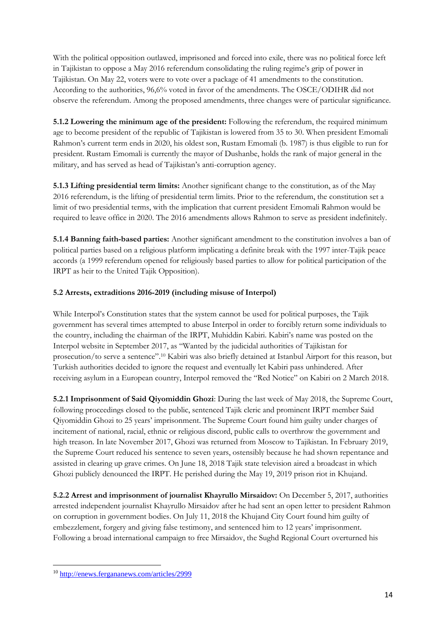With the political opposition outlawed, imprisoned and forced into exile, there was no political force left in Tajikistan to oppose a May 2016 referendum consolidating the ruling regime's grip of power in Tajikistan. On May 22, voters were to vote over a package of 41 amendments to the constitution. According to the authorities, 96,6% voted in favor of the amendments. The OSCE/ODIHR did not observe the referendum. Among the proposed amendments, three changes were of particular significance.

**5.1.2 Lowering the minimum age of the president:** Following the referendum, the required minimum age to become president of the republic of Tajikistan is lowered from 35 to 30. When president Emomali Rahmon's current term ends in 2020, his oldest son, Rustam Emomali (b. 1987) is thus eligible to run for president. Rustam Emomali is currently the mayor of Dushanbe, holds the rank of major general in the military, and has served as head of Tajikistan's anti-corruption agency.

**5.1.3 Lifting presidential term limits:** Another significant change to the constitution, as of the May 2016 referendum, is the lifting of presidential term limits. Prior to the referendum, the constitution set a limit of two presidential terms, with the implication that current president Emomali Rahmon would be required to leave office in 2020. The 2016 amendments allows Rahmon to serve as president indefinitely.

**5.1.4 Banning faith-based parties:** Another significant amendment to the constitution involves a ban of political parties based on a religious platform implicating a definite break with the 1997 inter-Tajik peace accords (a 1999 referendum opened for religiously based parties to allow for political participation of the IRPT as heir to the United Tajik Opposition).

# **5.2 Arrests, extraditions 2016-2019 (including misuse of Interpol)**

While Interpol's Constitution states that the system cannot be used for political purposes, the Tajik government has several times attempted to abuse Interpol in order to forcibly return some individuals to the country, including the chairman of the IRPT, Muhiddin Kabiri. Kabiri's name was posted on the Interpol website in September 2017, as "Wanted by the judicidal authorities of Tajikistan for prosecution/to serve a sentence".<sup>10</sup> Kabiri was also briefly detained at Istanbul Airport for this reason, but Turkish authorities decided to ignore the request and eventually let Kabiri pass unhindered. After receiving asylum in a European country, Interpol removed the "Red Notice" on Kabiri on 2 March 2018.

**5.2.1 Imprisonment of Said Qiyomiddin Ghozi**: During the last week of May 2018, the Supreme Court, following proceedings closed to the public, sentenced Tajik cleric and prominent IRPT member Said Qiyomiddin Ghozi to 25 years' imprisonment. The Supreme Court found him guilty under charges of incitement of national, racial, ethnic or religious discord, public calls to overthrow the government and high treason. In late November 2017, Ghozi was returned from Moscow to Tajikistan. In February 2019, the Supreme Court reduced his sentence to seven years, ostensibly because he had shown repentance and assisted in clearing up grave crimes. On June 18, 2018 Tajik state television aired a broadcast in which Ghozi publicly denounced the IRPT. He perished during the May 19, 2019 prison riot in Khujand.

**5.2.2 Arrest and imprisonment of journalist Khayrullo Mirsaidov:** On December 5, 2017, authorities arrested independent journalist Khayrullo Mirsaidov after he had sent an open letter to president Rahmon on corruption in government bodies. On July 11, 2018 the Khujand City Court found him guilty of embezzlement, forgery and giving false testimony, and sentenced him to 12 years' imprisonment. Following a broad international campaign to free Mirsaidov, the Sughd Regional Court overturned his

<sup>10</sup> <http://enews.fergananews.com/articles/2999>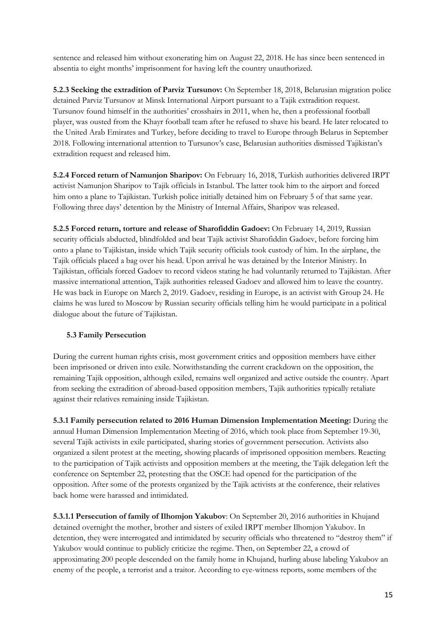sentence and released him without exonerating him on August 22, 2018. He has since been sentenced in absentia to eight months' imprisonment for having left the country unauthorized.

**5.2.3 Seeking the extradition of Parviz Tursunov:** On September 18, 2018, Belarusian migration police detained Parviz Tursunov at Minsk International Airport pursuant to a Tajik extradition request. Tursunov found himself in the authorities' crosshairs in 2011, when he, then a professional football player, was ousted from the Khayr football team after he refused to shave his beard. He later relocated to the United Arab Emirates and Turkey, before deciding to travel to Europe through Belarus in September 2018. Following international attention to Tursunov's case, Belarusian authorities dismissed Tajikistan's extradition request and released him.

**5.2.4 Forced return of Namunjon Sharipov:** On February 16, 2018, Turkish authorities delivered IRPT activist Namunjon Sharipov to Tajik officials in Istanbul. The latter took him to the airport and forced him onto a plane to Tajikistan. Turkish police initially detained him on February 5 of that same year. Following three days' detention by the Ministry of Internal Affairs, Sharipov was released.

**5.2.5 Forced return, torture and release of Sharofiddin Gadoev:** On February 14, 2019, Russian security officials abducted, blindfolded and beat Tajik activist Sharofiddin Gadoev, before forcing him onto a plane to Tajikistan, inside which Tajik security officials took custody of him. In the airplane, the Tajik officials placed a bag over his head. Upon arrival he was detained by the Interior Ministry. In Tajikistan, officials forced Gadoev to record videos stating he had voluntarily returned to Tajikistan. After massive international attention, Tajik authorities released Gadoev and allowed him to leave the country. He was back in Europe on March 2, 2019. Gadoev, residing in Europe, is an activist with Group 24. He claims he was lured to Moscow by Russian security officials telling him he would participate in a political dialogue about the future of Tajikistan.

#### **5.3 Family Persecution**

During the current human rights crisis, most government critics and opposition members have either been imprisoned or driven into exile. Notwithstanding the current crackdown on the opposition, the remaining Tajik opposition, although exiled, remains well organized and active outside the country. Apart from seeking the extradition of abroad-based opposition members, Tajik authorities typically retaliate against their relatives remaining inside Tajikistan.

**5.3.1 Family persecution related to 2016 Human Dimension Implementation Meeting:** During the annual Human Dimension Implementation Meeting of 2016, which took place from September 19-30, several Tajik activists in exile participated, sharing stories of government persecution. Activists also organized a silent protest at the meeting, showing placards of imprisoned opposition members. Reacting to the participation of Tajik activists and opposition members at the meeting, the Tajik delegation left the conference on September 22, protesting that the OSCE had opened for the participation of the opposition. After some of the protests organized by the Tajik activists at the conference, their relatives back home were harassed and intimidated.

**5.3.1.1 Persecution of family of Ilhomjon Yakubov**: On September 20, 2016 authorities in Khujand detained overnight the mother, brother and sisters of exiled IRPT member Ilhomjon Yakubov. In detention, they were interrogated and intimidated by security officials who threatened to "destroy them" if Yakubov would continue to publicly criticize the regime. Then, on September 22, a crowd of approximating 200 people descended on the family home in Khujand, hurling abuse labeling Yakubov an enemy of the people, a terrorist and a traitor. According to eye-witness reports, some members of the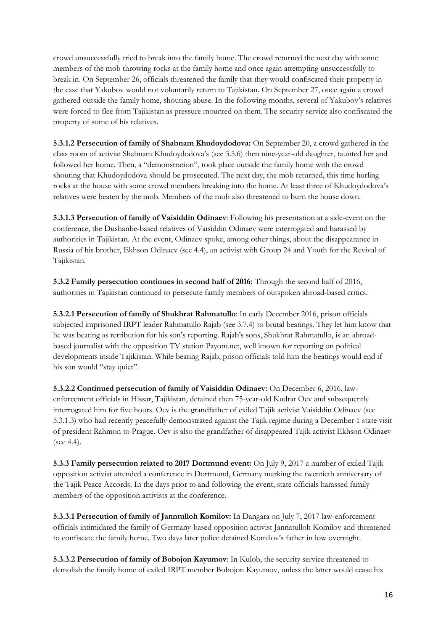crowd unsuccessfully tried to break into the family home. The crowd returned the next day with some members of the mob throwing rocks at the family home and once again attempting unsuccessfully to break in. On September 26, officials threatened the family that they would confiscated their property in the case that Yakubov would not voluntarily return to Tajikistan. On September 27, once again a crowd gathered outside the family home, shouting abuse. In the following months, several of Yakubov's relatives were forced to flee from Tajikistan as pressure mounted on them. The security service also confiscated the property of some of his relatives.

**5.3.1.2 Persecution of family of Shabnam Khudoydodova:** On September 20, a crowd gathered in the class room of activist Shabnam Khudoydodova's (see 3.5.6) then nine-year-old daughter, taunted her and followed her home. Then, a "demonstration", took place outside the family home with the crowd shouting that Khudoydodova should be prosecuted. The next day, the mob returned, this time hurling rocks at the house with some crowd members breaking into the home. At least three of Khudoydodova's relatives were beaten by the mob. Members of the mob also threatened to burn the house down.

**5.3.1.3 Persecution of family of Vaisiddin Odinaev**: Following his presentation at a side-event on the conference, the Dushanbe-based relatives of Vaisiddin Odinaev were interrogated and harassed by authorities in Tajikistan. At the event, Odinaev spoke, among other things, about the disappearance in Russia of his brother, Ekhson Odinaev (see 4.4), an activist with Group 24 and Youth for the Revival of Tajikistan.

**5.3.2 Family persecution continues in second half of 2016:** Through the second half of 2016, authorities in Tajikistan continued to persecute family members of outspoken abroad-based critics.

**5.3.2.1 Persecution of family of Shukhrat Rahmatullo**: In early December 2016, prison officials subjected imprisoned IRPT leader Rahmatullo Rajab (see 3.7.4) to brutal beatings. They let him know that he was beating as retribution for his son's reporting. Rajab's sons, Shukhrat Rahmatullo, is an abroadbased journalist with the opposition TV station Payom.net, well known for reporting on political developments inside Tajikistan. While beating Rajab, prison officials told him the beatings would end if his son would "stay quiet".

**5.3.2.2 Continued persecution of family of Vaisiddin Odinaev:** On December 6, 2016, lawenforcement officials in Hissar, Tajikistan, detained then 75-year-old Kudrat Oev and subsequently interrogated him for five hours. Oev is the grandfather of exiled Tajik activist Vaisiddin Odinaev (see 5.3.1.3) who had recently peacefully demonstrated against the Tajik regime during a December 1 state visit of president Rahmon to Prague. Oev is also the grandfather of disappeared Tajik activist Ekhson Odinaev (see 4.4).

**5.3.3 Family persecution related to 2017 Dortmund event:** On July 9, 2017 a number of exiled Tajik opposition activist attended a conference in Dortmund, Germany marking the twentieth anniversary of the Tajik Peace Accords. In the days prior to and following the event, state officials harassed family members of the opposition activists at the conference.

**5.3.3.1 Persecution of family of Janntulloh Komilov:** In Dangara on July 7, 2017 law-enforcement officials intimidated the family of Germany-based opposition activist Jannatulloh Komilov and threatened to confiscate the family home. Two days later police detained Komilov's father in low overnight.

**5.3.3.2 Persecution of family of Bobojon Kayumov**: In Kulob, the security service threatened to demolish the family home of exiled IRPT member Bobojon Kayumov, unless the latter would cease his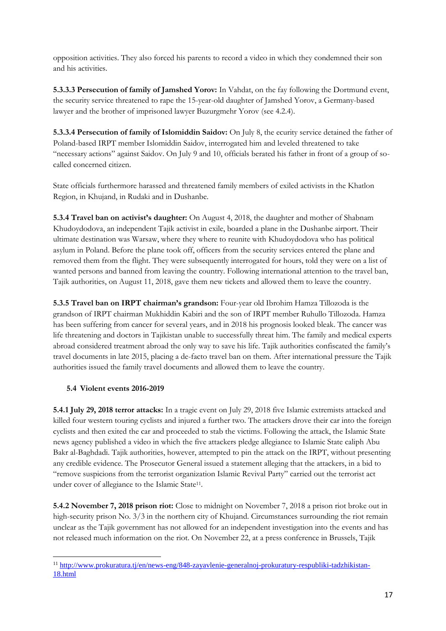opposition activities. They also forced his parents to record a video in which they condemned their son and his activities.

**5.3.3.3 Persecution of family of Jamshed Yorov:** In Vahdat, on the fay following the Dortmund event, the security service threatened to rape the 15-year-old daughter of Jamshed Yorov, a Germany-based lawyer and the brother of imprisoned lawyer Buzurgmehr Yorov (see 4.2.4).

**5.3.3.4 Persecution of family of Islomiddin Saidov:** On July 8, the ecurity service detained the father of Poland-based IRPT member Islomiddin Saidov, interrogated him and leveled threatened to take "necessary actions" against Saidov. On July 9 and 10, officials berated his father in front of a group of socalled concerned citizen.

State officials furthermore harassed and threatened family members of exiled activists in the Khatlon Region, in Khujand, in Rudaki and in Dushanbe.

**5.3.4 Travel ban on activist's daughter:** On August 4, 2018, the daughter and mother of Shabnam Khudoydodova, an independent Tajik activist in exile, boarded a plane in the Dushanbe airport. Their ultimate destination was Warsaw, where they where to reunite with Khudoydodova who has political asylum in Poland. Before the plane took off, officers from the security services entered the plane and removed them from the flight. They were subsequently interrogated for hours, told they were on a list of wanted persons and banned from leaving the country. Following international attention to the travel ban, Tajik authorities, on August 11, 2018, gave them new tickets and allowed them to leave the country.

**5.3.5 Travel ban on IRPT chairman's grandson:** Four-year old Ibrohim Hamza Tillozoda is the grandson of IRPT chairman Mukhiddin Kabiri and the son of IRPT member Ruhullo Tillozoda. Hamza has been suffering from cancer for several years, and in 2018 his prognosis looked bleak. The cancer was life threatening and doctors in Tajikistan unable to successfully threat him. The family and medical experts abroad considered treatment abroad the only way to save his life. Tajik authorities confiscated the family's travel documents in late 2015, placing a de-facto travel ban on them. After international pressure the Tajik authorities issued the family travel documents and allowed them to leave the country.

#### **5.4 Violent events 2016-2019**

**5.4.1 July 29, 2018 terror attacks:** In a tragic event on July 29, 2018 five Islamic extremists attacked and killed four western touring cyclists and injured a further two. The attackers drove their car into the foreign cyclists and then exited the car and proceeded to stab the victims. Following the attack, the Islamic State news agency published a video in which the five attackers pledge allegiance to Islamic State caliph Abu Bakr al-Baghdadi. Tajik authorities, however, attempted to pin the attack on the IRPT, without presenting any credible evidence. The Prosecutor General issued a statement alleging that the attackers, in a bid to "remove suspicions from the terrorist organization Islamic Revival Party" carried out the terrorist act under cover of allegiance to the Islamic State<sup>11</sup>.

**5.4.2 November 7, 2018 prison riot:** Close to midnight on November 7, 2018 a prison riot broke out in high-security prison No. 3/3 in the northern city of Khujand. Circumstances surrounding the riot remain unclear as the Tajik government has not allowed for an independent investigation into the events and has not released much information on the riot. On November 22, at a press conference in Brussels, Tajik

 $\overline{a}$ <sup>11</sup> [http://www.prokuratura.tj/en/news-eng/848-zayavlenie-generalnoj-prokuratury-respubliki-tadzhikistan-](http://www.prokuratura.tj/en/news-eng/848-zayavlenie-generalnoj-prokuratury-respubliki-tadzhikistan-18.html)[18.html](http://www.prokuratura.tj/en/news-eng/848-zayavlenie-generalnoj-prokuratury-respubliki-tadzhikistan-18.html)